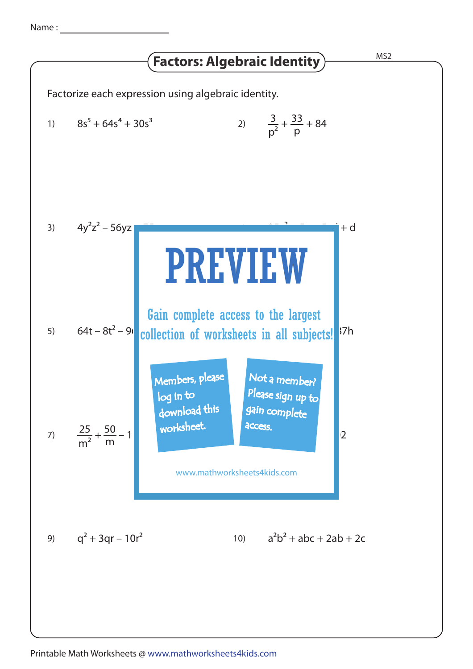